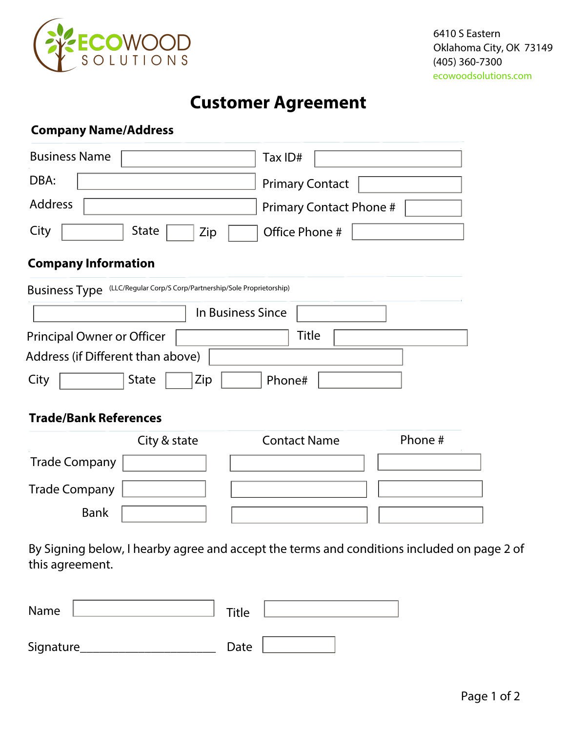

## **Customer Agreement**

## **Company Name/Address**

| <b>Business Name</b>                                                    | Tax ID#                        |  |
|-------------------------------------------------------------------------|--------------------------------|--|
| DBA:                                                                    | <b>Primary Contact</b>         |  |
| Address                                                                 | <b>Primary Contact Phone #</b> |  |
| City<br><b>State</b><br>Zip                                             | Office Phone #                 |  |
| <b>Company Information</b>                                              |                                |  |
| Business Type (LLC/Regular Corp/S Corp/Partnership/Sole Proprietorship) |                                |  |
| In Business Since                                                       |                                |  |
| <b>Principal Owner or Officer</b>                                       | <b>Title</b>                   |  |
| Address (if Different than above)                                       |                                |  |
| Zip<br><b>State</b><br>Phone#<br>City                                   |                                |  |
| <b>Trade/Bank References</b>                                            |                                |  |
| City & state                                                            | Phone #<br><b>Contact Name</b> |  |
| <b>Trade Company</b>                                                    |                                |  |
| <b>Trade Company</b>                                                    |                                |  |
| <b>Bank</b>                                                             |                                |  |

By Signing below, I hearby agree and accept the terms and conditions included on page 2 of this agreement.

| Name      | Title |
|-----------|-------|
| Signature | Date  |